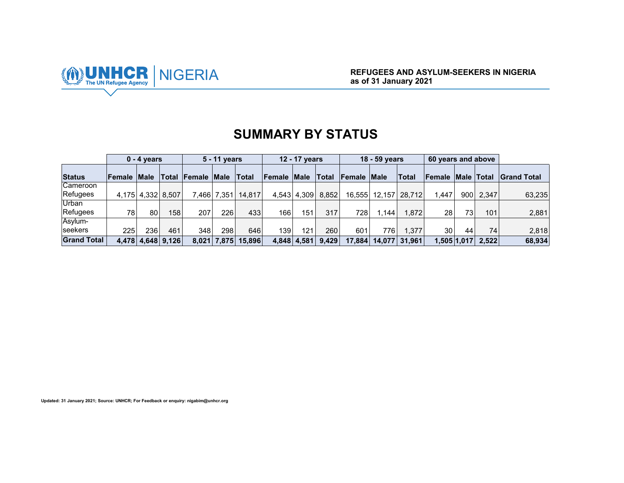

# **SUMMARY BY STATUS**

|                    | $0 - 4$ years      |                   |     |                          | 5 - 11 years |        |                    | 12 - 17 years |       |                    | 18 - 59 years |              | 60 years and above |                   |       |                    |
|--------------------|--------------------|-------------------|-----|--------------------------|--------------|--------|--------------------|---------------|-------|--------------------|---------------|--------------|--------------------|-------------------|-------|--------------------|
| <b>Status</b>      | <b>Female Male</b> |                   |     | <b>Total Female Male</b> |              | Total  | <b>Female Male</b> |               | Total | <b>Female Male</b> |               | $\sf{Total}$ | <b>Female</b>      | <b>Male Total</b> |       | <b>Grand Total</b> |
| Cameroon           |                    |                   |     |                          |              |        |                    |               |       |                    |               |              |                    |                   |       |                    |
| Refugees           |                    | 4,175 4,332 8,507 |     |                          | 7,466 7,351  | 14.817 |                    | 4,543 4,309   | 8,852 | 16.555             | 12.157        | 28.712       | 1.447              | 900               | 2,347 | 63,235             |
| Urban              |                    |                   |     |                          |              |        |                    |               |       |                    |               |              |                    |                   |       |                    |
| Refugees           | 78                 | 80                | 158 | 207                      | 226          | 433    | 166 <sub>1</sub>   | 151           | 317   | 728                | .144          | 1.872        | 28                 | 73                | 101   | 2,881              |
| Asylum-            |                    |                   |     |                          |              |        |                    |               |       |                    |               |              |                    |                   |       |                    |
| seekers            | 225 <sub>1</sub>   | 236               | 461 | 348                      | 298          | 646    | 139                | 121           | 260   | 601                | 776           | 1.377        | 30                 | 44                | 74    | 2,818              |
| <b>Grand Total</b> |                    | 4,478 4,648 9,126 |     |                          | 8,021 7,875  | 15.896 | 4.848              | 4.581         | 9.429 | 17.884             | 14.077        | 31.961       |                    | 1,505 1,017       | 2.522 | 68,934             |

**Updated: 31 January 2021; Source: UNHCR; For Feedback or enquiry: nigabim@unhcr.org**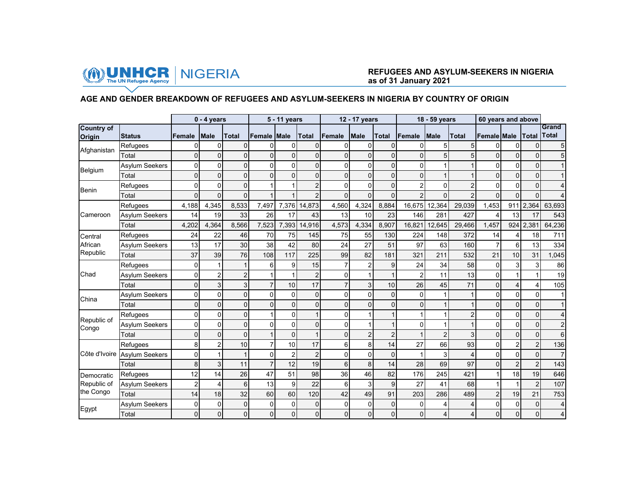

## **AGE AND GENDER BREAKDOWN OF REFUGEES AND ASYLUM-SEEKERS IN NIGERIA BY COUNTRY OF ORIGIN**

|                             |                       |                | $0 - 4$ years  |                |                    | 5 - 11 years   |                |                | 12 - 17 years  |                |                | 18 - 59 years  |                | 60 years and above |                |                |                       |
|-----------------------------|-----------------------|----------------|----------------|----------------|--------------------|----------------|----------------|----------------|----------------|----------------|----------------|----------------|----------------|--------------------|----------------|----------------|-----------------------|
| <b>Country of</b><br>Origin | <b>Status</b>         | <b>Female</b>  | <b>Male</b>    | Total          | <b>Female Male</b> |                | Total          | Female         | <b>Male</b>    | Total          | Female         | <b>Male</b>    | <b>Total</b>   | <b>Female Male</b> |                | Total          | Grand<br><b>Total</b> |
|                             | Refugees              | ი              | 0              | $\Omega$       | 0                  | 0              | 0              | 0              | $\Omega$       | 0              | 0              | 5              | 5 <sub>l</sub> | 0                  | O              | $\Omega$       | 5                     |
| Afghanistan                 | Total                 | $\Omega$       | 0              | $\Omega$       | 0                  | $\Omega$       | 0              | $\Omega$       | 0              | $\Omega$       | $\Omega$       | 5              | 5              | $\Omega$           | $\Omega$       | $\Omega$       | 5                     |
| Belgium                     | Asylum Seekers        | 0              | 0              | 0              | 0                  | $\Omega$       | 0              | $\Omega$       | $\mathbf{0}$   | $\Omega$       | $\mathbf 0$    | $\mathbf{1}$   |                | $\mathbf 0$        |                | $\Omega$       |                       |
|                             | Total                 | 0              | 0              | $\mathbf 0$    | $\mathbf{0}$       | $\Omega$       | 0              | 0              | 0              | $\Omega$       | 0              |                |                | 0                  |                | $\Omega$       |                       |
| <b>Benin</b>                | Refugees              | 0              | 0              | $\overline{0}$ |                    |                | $\overline{2}$ | $\Omega$       | $\overline{0}$ | $\Omega$       | $\overline{2}$ | $\Omega$       | $\overline{2}$ | $\Omega$           | n              | $\Omega$       | 4                     |
|                             | Total                 | $\Omega$       | $\overline{0}$ | 0              |                    |                | $\overline{2}$ | $\Omega$       | $\overline{0}$ | $\mathbf{0}$   | $\overline{2}$ | $\Omega$       | $\overline{2}$ | $\Omega$           | $\Omega$       | $\Omega$       | 4                     |
|                             | Refugees              | 4,188          | 4,345          | 8,533          | 7,497              | 7,376          | 14,873         | 4,560          | 4,324          | 8,884          | 16,675         | 12,364         | 29,039         | 1,453              | 911            | 2,364          | 63,693                |
| Cameroon                    | <b>Asylum Seekers</b> | 14             | 19             | 33             | 26                 | 17             | 43             | 13             | 10             | 23             | 146            | 281            | 427            | 4                  | 13             | 17             | 543                   |
|                             | Total                 | 4,202          | 4.364          | 8,566          | 7,523              | 7,393          | 14,916         | 4,573          | 4,334          | 8,907          | 16,821         | 12,645         | 29,466         | 1,457              |                | 924 2.381      | 64,236                |
| Central                     | Refugees              | 24             | 22             | 46             | 70                 | 75             | 145            | 75             | 55             | 130            | 224            | 148            | 372            | 14                 | 4              | 18             | 711                   |
| African                     | Asylum Seekers        | 13             | 17             | 30             | 38                 | 42             | 80             | 24             | 27             | 51             | 97             | 63             | 160            | $\overline{7}$     | 6              | 13             | 334                   |
| Republic                    | Total                 | 37             | 39             | 76             | 108                | 117            | 225            | 99             | 82             | 181            | 321            | 211            | 532            | 21                 | 10             | 31             | 1,045                 |
|                             | Refugees              | 0              |                |                | 6                  | 9              | 15             | $\overline{7}$ | $\overline{2}$ | 9              | 24             | 34             | 58             | 0                  | 3              | 3              | 86                    |
| Chad                        | Asylum Seekers        | 0              | $\overline{c}$ | $\overline{c}$ |                    |                | $\overline{c}$ | 0              | 1              |                | $\overline{c}$ | 11             | 13             | 0                  |                |                | 19                    |
|                             | Total                 | 0              | 3              | 3              | $\overline{7}$     | 10             | 17             |                | 3              | 10             | 26             | 45             | 71             | $\overline{0}$     |                | 4              | 105                   |
| China                       | Asylum Seekers        | 0              | 0              | 0              | 0                  | $\Omega$       | $\mathbf 0$    | $\Omega$       | 0              | 0              | 0              | 1              | 1              | 0                  | $\Omega$       | $\Omega$       | 1                     |
|                             | Total                 | $\overline{0}$ | $\overline{0}$ | $\mathbf{0}$   | $\Omega$           | $\Omega$       | $\overline{0}$ | $\Omega$       | $\Omega$       | $\overline{0}$ | $\overline{0}$ | $\overline{1}$ | 1              | $\overline{0}$     | $\Omega$       | $\Omega$       | $\mathbf{1}$          |
|                             | Refugees              | 0              | 0              | $\mathbf 0$    |                    | $\Omega$       | 1              | $\Omega$       | 1              | 1              | 1              |                | $\overline{c}$ | 0                  | $\Omega$       | $\Omega$       | 4                     |
| Republic of<br>Congo        | Asylum Seekers        | 0              | 0              | $\overline{0}$ | $\mathbf 0$        | $\Omega$       | 0              | 0              | 1              | $\mathbf{1}$   | $\mathbf{0}$   | 1              |                | $\overline{0}$     | $\Omega$       | $\Omega$       | $\overline{2}$        |
|                             | Total                 | 0              | 0              | $\mathbf 0$    |                    | $\mathbf 0$    | 1              | $\Omega$       | $\overline{2}$ | $\overline{2}$ | $\overline{1}$ | $\overline{2}$ | 3              | 0                  |                | $\mathbf 0$    | 6                     |
|                             | Refugees              | 8              | $\overline{2}$ | 10             | $\overline{7}$     | 10             | 17             | 6              | 8              | 14             | 27             | 66             | 93             | $\overline{0}$     | 2              | $\overline{2}$ | 136                   |
| Côte d'Ivoire               | <b>Asylum Seekers</b> | 0              |                | 1              | 0                  | $\overline{2}$ | $\overline{2}$ | $\Omega$       | 0              | $\mathbf 0$    | 1              | 3              | 4              | 0                  | $\Omega$       | $\Omega$       | $\overline{7}$        |
|                             | Total                 | 8              | 3              | 11             | $\overline{7}$     | 12             | 19             | 6              | 8              | 14             | 28             | 69             | 97             | $\Omega$           | $\overline{2}$ | $\overline{2}$ | 143                   |
| Democratic                  | Refugees              | 12             | 14             | 26             | 47                 | 51             | 98             | 36             | 46             | 82             | 176            | 245            | 421            |                    | 18             | 19             | 646                   |
| Republic of                 | Asylum Seekers        | 2              | 4              | 6              | 13                 | 9              | 22             | 6              | 3              | 9              | 27             | 41             | 68             |                    |                | $\overline{2}$ | 107                   |
| the Congo                   | Total                 | 14             | 18             | 32             | 60                 | 60             | 120            | 42             | 49             | 91             | 203            | 286            | 489            | $\overline{2}$     | 19             | 21             | 753                   |
|                             | Asylum Seekers        | 0              | 0              | $\mathbf 0$    | $\Omega$           | $\Omega$       | 0              | $\Omega$       | 0              | 0              | $\mathbf 0$    | 4              | 4              | 0                  | $\mathbf{0}$   | $\mathbf 0$    | 4                     |
| Egypt                       | Total                 | $\overline{0}$ | 0              | 0              | 0                  | $\mathbf 0$    | 0              | $\overline{0}$ | 0              | $\overline{0}$ | 0              | 4              | 4              | $\overline{0}$     | $\mathbf{0}$   | $\overline{0}$ | $\overline{4}$        |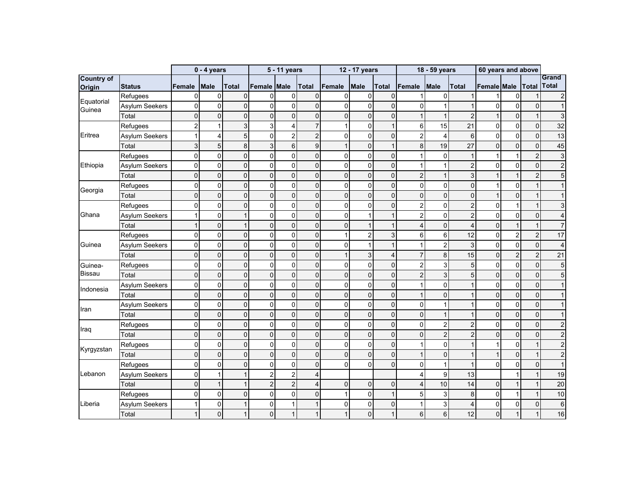|                             |                       |                | $0 - 4$ years  |                |                | 5 - 11 years   |                  |          | 12 - 17 years             |                     |                         | 18 - 59 years  |                | 60 years and above |                |                |                       |
|-----------------------------|-----------------------|----------------|----------------|----------------|----------------|----------------|------------------|----------|---------------------------|---------------------|-------------------------|----------------|----------------|--------------------|----------------|----------------|-----------------------|
| <b>Country of</b><br>Origin | <b>Status</b>         | Female         | <b>Male</b>    | <b>Total</b>   | Female         | <b>Male</b>    | <b>Total</b>     | Female   | <b>Male</b>               | <b>Total</b>        | Female                  | <b>Male</b>    | <b>Total</b>   | Female Male        |                | <b>Total</b>   | Grand<br><b>Total</b> |
|                             | Refugees              | $\mathbf{0}$   | 0              | $\mathbf 0$    | $\mathbf 0$    | $\mathbf{0}$   | 0                | 0        | $\mathbf 0$               | $\mathbf 0$         | 1                       | 0              | $\mathbf{1}$   |                    | $\overline{0}$ |                | 2                     |
| Equatorial<br>Guinea        | Asylum Seekers        | 0              | $\Omega$       | $\Omega$       | $\Omega$       | $\mathbf 0$    | $\overline{0}$   | $\Omega$ | 0                         | $\mathbf 0$         | 0                       | 1              | 1              | $\mathbf 0$        | $\Omega$       | $\Omega$       |                       |
|                             | Total                 | $\overline{0}$ | $\Omega$       | $\mathbf 0$    | $\mathbf 0$    | $\overline{0}$ | 0                | 0        | $\mathbf 0$               | $\overline{0}$      | $\mathbf{1}$            | $\mathbf{1}$   | $\overline{2}$ |                    | $\Omega$       |                | 3                     |
|                             | Refugees              | $\overline{2}$ |                | 3              | 3              | 4              | $\overline{7}$   |          | $\mathbf 0$               | $\mathbf{1}$        | $\,6$                   | 15             | 21             | 0                  | $\overline{0}$ | $\mathbf 0$    | 32                    |
| Eritrea                     | Asylum Seekers        |                | Δ              | 5              | $\Omega$       | $\overline{2}$ | $\overline{c}$   | 0        | $\mathbf 0$               | $\mathbf 0$         | $\overline{c}$          | 4              | 6 <sup>1</sup> | 0                  | $\Omega$       | $\Omega$       | 13                    |
|                             | Total                 | 3              | 5              | 8              | 3              | 6              | $\boldsymbol{9}$ |          | $\mathbf 0$               | $\mathbf{1}$        | 8                       | 19             | 27             | $\mathbf 0$        | $\Omega$       | $\Omega$       | 45                    |
|                             | Refugees              | 0              | $\mathbf 0$    | $\overline{0}$ | $\mathbf{0}$   | $\mathbf 0$    | $\mathbf 0$      | 0        | $\mathbf 0$               | $\mathbf 0$         | $\mathbf{1}$            | $\mathbf 0$    | $\mathbf{1}$   | 1                  |                | $\overline{2}$ | 3                     |
| Ethiopia                    | <b>Asylum Seekers</b> | 0              | $\mathbf 0$    | $\Omega$       | $\mathbf{0}$   | $\Omega$       | 0                | 0        | $\mathbf{0}$              | $\mathbf 0$         | $\mathbf{1}$            | $\mathbf{1}$   | $\overline{2}$ | $\mathbf 0$        | $\Omega$       | $\Omega$       | $\overline{2}$        |
|                             | Total                 | $\overline{0}$ | $\Omega$       | $\Omega$       | $\Omega$       | $\Omega$       | 0                | 0        | $\mathbf{0}$              | $\mathbf 0$         | $\overline{c}$          | $\mathbf{1}$   | 3 <sup>1</sup> |                    |                | $\overline{2}$ | 5                     |
| Georgia                     | Refugees              | $\mathbf 0$    | $\Omega$       | $\overline{0}$ | 0              | $\mathbf 0$    | $\mathbf 0$      | 0        | $\mathbf 0$               | $\mathsf{O}\xspace$ | $\mathbf 0$             | $\mathsf 0$    | $\overline{0}$ |                    | $\Omega$       |                |                       |
|                             | Total                 | $\mathbf 0$    | $\Omega$       | $\overline{0}$ | $\mathbf 0$    | $\overline{0}$ | 0                | 0        | $\mathbf 0$               | $\overline{0}$      | $\overline{0}$          | $\mathsf 0$    | $\overline{0}$ |                    | $\Omega$       |                |                       |
|                             | Refugees              | 0              | $\Omega$       | $\Omega$       | $\mathbf{0}$   | $\overline{0}$ | 0                | 0        | 0                         | $\mathbf 0$         | 2                       | 0              | $\overline{2}$ | 0                  |                |                | 3                     |
| Ghana                       | Asylum Seekers        |                | $\Omega$       |                | $\mathbf{0}$   | 0              | $\mathbf 0$      | 0        |                           | $\mathbf{1}$        | $\overline{c}$          | 0              | $\overline{2}$ | 0                  | $\Omega$       | $\mathbf 0$    | 4                     |
|                             | Total                 |                | $\mathbf 0$    | $\overline{1}$ | 0              | $\mathbf 0$    | 0                | 0        | $\mathbf{1}$              | $\mathbf{1}$        | 4                       | $\mathsf 0$    | $\overline{4}$ | $\mathbf 0$        |                |                | 7                     |
|                             | Refugees              | 0              | $\mathbf{0}$   | $\mathbf 0$    | $\mathbf 0$    | $\mathbf{0}$   | 0                |          | $\overline{c}$            | 3                   | 6                       | 6              | 12             | 0                  | $\overline{2}$ | $\overline{2}$ | 17                    |
| Guinea                      | <b>Asylum Seekers</b> | 0              | $\mathbf 0$    | $\Omega$       | $\mathbf 0$    | $\mathbf 0$    | 0                | 0        | 1                         | $\overline{1}$      | $\mathbf{1}$            | $\overline{2}$ | 3 <sup>1</sup> | 0                  | $\Omega$       | $\mathbf{0}$   |                       |
|                             | Total                 | 0              | $\mathbf 0$    | $\mathbf 0$    | $\mathbf 0$    | $\mathbf 0$    | $\mathbf 0$      |          | $\ensuremath{\mathsf{3}}$ | $\overline{4}$      | $\overline{7}$          | 8              | 15             | $\mathbf 0$        | $\overline{2}$ | $\overline{2}$ | 21                    |
| Guinea-                     | Refugees              | $\overline{0}$ | $\Omega$       | $\overline{0}$ | $\mathbf{0}$   | $\Omega$       | $\mathbf 0$      | 0        | $\mathbf 0$               | $\mathbf 0$         | $\overline{c}$          | 3              | 5 <sup>1</sup> | $\mathbf 0$        | $\Omega$       | $\Omega$       | 5                     |
| <b>Bissau</b>               | Total                 | $\mathbf 0$    | $\Omega$       | $\Omega$       | $\overline{0}$ | $\overline{0}$ | $\mathbf 0$      | 0        | $\mathbf 0$               | $\mathbf 0$         | $\overline{2}$          | 3              | 5 <sup>1</sup> | $\mathbf 0$        | $\Omega$       | $\Omega$       | 5                     |
| Indonesia                   | Asylum Seekers        | 0              | $\Omega$       | $\Omega$       | $\Omega$       | $\mathbf{0}$   | 0                | 0        | $\mathbf 0$               | $\mathbf 0$         | 1                       | 0              | $\mathbf{1}$   | $\mathbf 0$        | $\mathbf{0}$   | $\Omega$       |                       |
|                             | Total                 | $\overline{0}$ | $\overline{0}$ | $\overline{0}$ | $\overline{0}$ | $\overline{0}$ | $\overline{0}$   | $\Omega$ | $\Omega$                  | $\mathbf 0$         | $\mathbf{1}$            | $\mathbf 0$    | $\mathbf{1}$   | $\mathbf 0$        | $\Omega$       | $\Omega$       |                       |
| Iran                        | Asylum Seekers        | 0              | $\mathbf 0$    | $\mathbf 0$    | $\mathbf 0$    | 0              | 0                | 0        | $\mathbf 0$               | $\pmb{0}$           | 0                       | $\mathbf{1}$   | 1              | 0                  | $\mathbf 0$    | $\mathbf 0$    |                       |
|                             | Total                 | 0              | $\mathbf 0$    | $\mathbf 0$    | $\mathbf 0$    | 0              | 0                | 0        | $\mathbf 0$               | $\mathbf 0$         | 0                       | $\mathbf{1}$   | 1              | $\mathbf 0$        | $\mathbf 0$    | $\Omega$       |                       |
| Iraq                        | Refugees              | 0              | $\mathbf 0$    | $\mathbf 0$    | $\mathbf 0$    | $\Omega$       | 0                | 0        | 0                         | $\mathbf 0$         | $\mathbf 0$             | $\overline{c}$ | $\overline{2}$ | 0                  | 0              | $\Omega$       | $\overline{2}$        |
|                             | Total                 | 0              | 0              | 0              | 0              | $\mathbf 0$    | 0                | 0        | $\mathbf 0$               | 0                   | 0                       | $\overline{c}$ | $\overline{2}$ | 0                  | $\overline{0}$ | 0              |                       |
| Kyrgyzstan                  | Refugees              | 0              | $\overline{0}$ | $\overline{0}$ | 0              | $\mathbf 0$    | $\overline{0}$   | 0        | $\mathbf 0$               | $\mathbf 0$         | $\mathbf{1}$            | $\mathsf 0$    | $\mathbf{1}$   |                    | $\Omega$       |                |                       |
|                             | Total                 | $\mathbf 0$    | $\mathbf 0$    | $\mathbf 0$    | $\mathbf 0$    | $\overline{0}$ | 0                | 0        | $\mathbf 0$               | $\overline{0}$      | $\mathbf{1}$            | $\mathsf 0$    | $\mathbf{1}$   |                    | $\Omega$       |                | $\overline{2}$        |
|                             | Refugees              | 0              | $\Omega$       | $\Omega$       | $\Omega$       | 0              | 0                | 0        | $\mathbf{0}$              | $\mathbf 0$         | $\mathbf 0$             | $\mathbf 1$    | $\mathbf{1}$   | $\mathbf{0}$       | $\Omega$       | $\mathbf{0}$   |                       |
| Lebanon                     | <b>Asylum Seekers</b> | 0              |                |                | $\overline{c}$ | $\overline{2}$ | 4                |          |                           |                     | 4                       | 9              | 13             |                    |                |                | 19                    |
|                             | Total                 | 0              | 1              |                | $\overline{2}$ | $\overline{2}$ | 4                | 0        | $\mathbf 0$               | $\overline{0}$      | $\overline{\mathbf{4}}$ | 10             | 14             | $\mathbf 0$        |                |                | 20                    |
|                             | Refugees              | $\overline{0}$ | $\Omega$       | $\overline{0}$ | $\Omega$       | $\mathbf{0}$   | 0                |          | $\mathbf 0$               | $\mathbf{1}$        | 5                       | 3              | 8 <sup>1</sup> | 0                  |                |                | 10                    |
| Liberia                     | Asylum Seekers        |                | $\Omega$       |                | $\Omega$       |                | 1                | 0        | $\Omega$                  | $\mathbf 0$         | $\mathbf{1}$            | 3              | $\overline{4}$ | 0                  | $\Omega$       | $\Omega$       | 6                     |
|                             | Total                 |                | $\Omega$       |                | $\Omega$       |                | 1                |          | $\Omega$                  |                     | 6                       | 6              | 12             | $\mathbf 0$        |                |                | 16                    |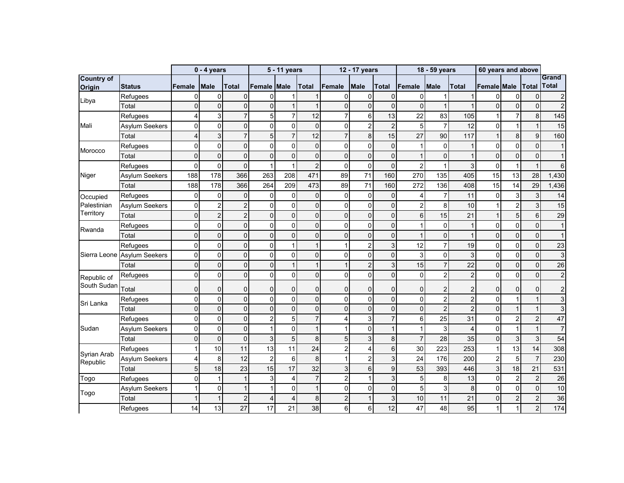|                             |                             |                         | $0 - 4$ years  |                |                | 5 - 11 years   |                |                | 12 - 17 years  |                  |                | 18 - 59 years  |                | 60 years and above |                |                |                       |
|-----------------------------|-----------------------------|-------------------------|----------------|----------------|----------------|----------------|----------------|----------------|----------------|------------------|----------------|----------------|----------------|--------------------|----------------|----------------|-----------------------|
| <b>Country of</b><br>Origin | <b>Status</b>               | <b>Female</b>           | <b>Male</b>    | <b>Total</b>   | Female         | <b>Male</b>    | <b>Total</b>   | Female         | <b>Male</b>    | <b>Total</b>     | Female         | <b>Male</b>    | <b>Total</b>   | Female Male        |                | <b>Total</b>   | Grand<br><b>Total</b> |
|                             | Refugees                    | 0                       | 0              | $\mathbf 0$    | $\Omega$       |                | 1              | 0              | 0              | $\mathbf 0$      | 0              |                | $\mathbf{1}$   | $\Omega$           | $\overline{0}$ | $\mathbf 0$    | $\boldsymbol{2}$      |
| Libya                       | Total                       | $\overline{0}$          | $\Omega$       | $\Omega$       | $\Omega$       | 1              | $\overline{1}$ | 0              | $\mathbf 0$    | $\mathbf 0$      | $\overline{0}$ |                | $\mathbf{1}$   | $\mathbf{0}$       | $\Omega$       | 0              | $\overline{2}$        |
|                             | Refugees                    | 4                       | 3              | $\overline{7}$ | 5              | $\overline{7}$ | 12             | 7              | 6              | 13               | 22             | 83             | 105            |                    | $\overline{7}$ | 8              | 145                   |
| Mali                        | <b>Asylum Seekers</b>       | 0                       | $\mathbf 0$    | $\Omega$       | 0              | $\mathbf{0}$   | $\mathbf 0$    | 0              | $\overline{c}$ | $\overline{2}$   | 5              | $\overline{7}$ | 12             | $\mathbf 0$        |                | 1              | 15                    |
|                             | Total                       | $\overline{\mathbf{4}}$ | 3              | $\overline{7}$ | 5              | $\overline{7}$ | 12             | 7              | 8              | 15               | 27             | 90             | 117            |                    | 8              | 9              | 160                   |
|                             | Refugees                    | 0                       | $\Omega$       | $\overline{0}$ | $\Omega$       | 0              | 0              | 0              | 0              | $\mathbf 0$      | $\mathbf{1}$   | 0              | $\mathbf{1}$   | $\mathbf 0$        | $\mathbf{0}$   | $\mathbf{0}$   | $\mathbf{1}$          |
| Morocco                     | Total                       | $\overline{0}$          | $\Omega$       | $\Omega$       | $\overline{0}$ | $\Omega$       | 0              | 0              | $\mathbf 0$    | $\mathbf 0$      | $\mathbf{1}$   | 0              | $\mathbf{1}$   | $\mathbf 0$        | $\Omega$       | $\Omega$       | $\mathbf 1$           |
|                             | Refugees                    | $\overline{0}$          | $\Omega$       | $\Omega$       | 1              | 1              | $\overline{c}$ | $\overline{0}$ | $\mathbf 0$    | $\mathbf 0$      | $\overline{c}$ | $\mathbf{1}$   | 3 <sup>1</sup> | 0                  |                |                | 6                     |
| Niger                       | <b>Asylum Seekers</b>       | 188                     | 178            | 366            | 263            | 208            | 471            | 89             | 71             | 160              | 270            | 135            | 405            | 15                 | 13             | 28             | 1,430                 |
|                             | Total                       | 188                     | 178            | 366            | 264            | 209            | 473            | 89             | 71             | 160              | 272            | 136            | 408            | 15                 | 14             | 29             | 1,436                 |
| Occupied                    | Refugees                    | 0                       | 0              | $\mathbf 0$    | $\mathbf 0$    | $\mathbf{0}$   | 0              | 0              | 0              | $\mathbf 0$      | $\overline{4}$ | $\overline{7}$ | 11             | $\mathbf 0$        | 3              | 3              | 14                    |
| Palestinian                 | <b>Asylum Seekers</b>       | 0                       | $\overline{c}$ | $\overline{2}$ | 0              | $\mathbf 0$    | $\mathbf 0$    | 0              | $\mathsf 0$    | $\pmb{0}$        | $\overline{c}$ | 8              | 10             |                    | $\overline{2}$ | 3              | 15                    |
| Territory                   | Total                       | $\overline{0}$          | $\overline{2}$ | $\overline{2}$ | 0              | $\mathbf 0$    | 0              | 0              | $\mathbf 0$    | $\mathbf 0$      | 6              | 15             | 21             |                    | 5              | 6              | 29                    |
| Rwanda                      | Refugees                    | 0                       | $\mathbf 0$    | $\mathbf 0$    | $\overline{0}$ | 0              | $\overline{0}$ | 0              | 0              | $\pmb{0}$        | $\mathbf{1}$   | $\mathsf 0$    | 1              | 0                  | $\mathbf{0}$   | $\mathbf 0$    | 1                     |
|                             | Total                       | $\overline{0}$          | $\overline{0}$ | $\overline{0}$ | $\overline{0}$ | $\Omega$       | $\mathbf 0$    | 0              | $\overline{0}$ | $\mathbf 0$      | $\mathbf{1}$   | $\mathbf 0$    | 1              | $\mathbf 0$        | $\mathbf{0}$   | $\Omega$       | $\mathbf{1}$          |
|                             | Refugees                    | 0                       | 0              | 0              | 0              |                | 1              |                | $\overline{2}$ | $\overline{3}$   | 12             | $\overline{7}$ | 19             | 0                  | $\mathbf{0}$   | $\mathbf 0$    | 23                    |
|                             | Sierra Leone Asylum Seekers | 0                       | $\mathbf 0$    | 0              | 0              | 0              | 0              | 0              | $\mathbf 0$    | 0                | 3              | 0              | $\mathbf{3}$   | $\pmb{0}$          | $\mathbf 0$    | $\Omega$       | 3                     |
|                             | Total                       | $\mathbf 0$             | $\overline{0}$ | $\Omega$       | $\mathbf{0}$   |                | 1              |                | $\overline{c}$ | 3                | 15             | $\overline{7}$ | 22             | $\mathbf 0$        | $\Omega$       | $\Omega$       | 26                    |
| Republic of                 | Refugees                    | 0                       | $\overline{0}$ | $\Omega$       | $\mathbf 0$    | $\mathbf 0$    | $\mathbf 0$    | 0              | $\mathbf{0}$   | $\mathbf 0$      | $\mathbf 0$    | $\overline{c}$ | $\overline{2}$ | $\mathbf 0$        | $\Omega$       | $\overline{0}$ | $\overline{c}$        |
| South Sudan                 | Total                       | 0                       | $\mathbf{0}$   | $\Omega$       | $\mathbf{0}$   | 0              | 0              | 0              | 0              | $\mathbf 0$      | 0              | $\overline{2}$ | $\overline{2}$ | $\mathbf 0$        | $\Omega$       | $\Omega$       | $\overline{2}$        |
| Sri Lanka                   | Refugees                    | 0                       | 0              | 0              | 0              | 0              | 0              | 0              | $\mathbf 0$    | $\mathsf 0$      | 0              | $\overline{c}$ | $\overline{2}$ | $\mathbf 0$        |                |                | 3                     |
|                             | Total                       | $\mathbf 0$             | $\Omega$       | $\overline{0}$ | $\Omega$       | $\mathbf 0$    | $\mathbf 0$    | $\Omega$       | $\mathbf 0$    | $\mathbf 0$      | $\mathbf 0$    | $\overline{2}$ | $\overline{2}$ | $\mathbf 0$        |                |                | 3                     |
|                             | Refugees                    | 0                       | $\mathbf 0$    | 0              | $\overline{2}$ | 5              | $\overline{7}$ | 4              | 3              | $\overline{7}$   | 6              | 25             | 31             | 0                  | $\overline{2}$ | $\overline{2}$ | 47                    |
| Sudan                       | Asylum Seekers              | 0                       | $\Omega$       | $\overline{0}$ | 1              | $\mathbf{0}$   | $\mathbf{1}$   |                | 0              | $\mathbf{1}$     | $\mathbf{1}$   | 3              | $\overline{4}$ | 0                  |                |                | $\overline{7}$        |
|                             | Total                       | $\overline{0}$          | $\Omega$       | $\Omega$       | 3              | 5              | 8              | 5              | 3              | 8                | $\overline{7}$ | 28             | 35             | $\mathbf 0$        | 3              | 3              | 54                    |
| Syrian Arab                 | Refugees                    |                         | 10             | 11             | 13             | 11             | 24             | $\overline{c}$ | 4              | $\,6$            | 30             | 223            | 253            | 1                  | 13             | 14             | 308                   |
| Republic                    | <b>Asylum Seekers</b>       | 4                       | 8              | 12             | $\overline{2}$ | 6              | 8              |                | $\overline{2}$ | 3                | 24             | 176            | 200            | $\overline{2}$     | 5              | $\overline{7}$ | 230                   |
|                             | Total                       | 5                       | 18             | 23             | 15             | 17             | 32             | 3              | 6              | $\boldsymbol{9}$ | 53             | 393            | 446            | $\mathbf{3}$       | 18             | 21             | 531                   |
| Togo                        | Refugees                    | $\mathbf{0}$            |                |                | 3              | 4              | $\overline{7}$ | $\overline{2}$ |                | 3                | 5              | 8              | 13             | 0                  | $\overline{2}$ | $\overline{2}$ | 26                    |
| Togo                        | Asylum Seekers              |                         | $\overline{0}$ |                |                | $\mathbf 0$    | 1              | 0              | 0              | $\mathbf 0$      | 5              | 3              | $\bf{8}$       | $\mathsf 0$        | $\Omega$       | $\Omega$       | 10                    |
|                             | Total                       |                         |                | $\overline{2}$ | $\overline{4}$ | $\overline{4}$ | 8              | $\overline{2}$ |                | $\mathbf{3}$     | 10             | 11             | 21             | $\mathbf 0$        | $\overline{2}$ | $\overline{2}$ | 36                    |
|                             | Refugees                    | 14                      | 13             | 27             | 17             | 21             | 38             | 6              | 6              | 12               | 47             | 48             | 95             | $\mathbf{1}$       | 1              | $\overline{2}$ | 174                   |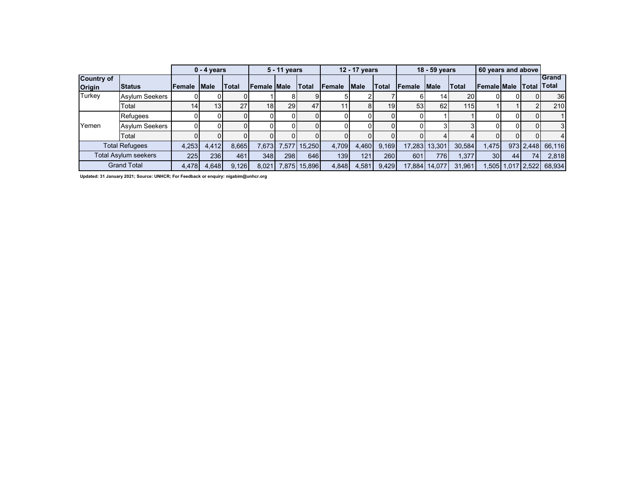|                             |                       |        | $0 - 4$ years   |              |                 | 5 - 11 years |              |        | 12 - 17 years |              |                | 18 - 59 years |              | 60 years and above |    |                  |                                     |
|-----------------------------|-----------------------|--------|-----------------|--------------|-----------------|--------------|--------------|--------|---------------|--------------|----------------|---------------|--------------|--------------------|----|------------------|-------------------------------------|
| Country of<br><b>Origin</b> | <b>Status</b>         | Female | <b>Male</b>     | <b>Total</b> | Female Male     |              | Total        | Female | <b>Male</b>   | <b>Total</b> | <b>IFemale</b> | <b>IMale</b>  | <b>Total</b> | <b>Female Male</b> |    |                  | <b>IGrand</b><br><b>Total Total</b> |
| <b>Turkey</b>               | <b>Asylum Seekers</b> |        |                 |              |                 |              |              |        |               |              |                | 14            | 20           |                    |    |                  | 36                                  |
|                             | Total                 | 14     | 13 <sup>1</sup> | 27           | 18 <sup>1</sup> | 29           | 47           |        | 81            | 19           | 53             | 62            | 115          |                    |    |                  | 210                                 |
|                             | <b>Refugees</b>       |        |                 |              |                 |              |              |        |               |              |                |               |              |                    |    |                  |                                     |
| Yemen                       | <b>Asylum Seekers</b> |        |                 |              |                 |              |              |        |               |              |                |               |              |                    |    |                  | 3                                   |
|                             | Total                 |        |                 |              |                 |              |              |        |               |              |                |               |              |                    |    |                  | $\overline{4}$                      |
|                             | <b>Total Refugees</b> | 4,253  | 4,412           | 8,665        | 7.673           |              | 7,577 15,250 | 4.709  | 4,460         | 9.169        | 17.283         | 13.301        | 30,584       | .475               |    | 973 2.448        | 66,116                              |
|                             | Total Asylum seekers  | 225    | 236             | 461          | 348             | 298          | 646          | 139    | 121           | 260          | 601            | 776           | 1.377        | 30 <sup>1</sup>    | 44 | 74               | 2,818                               |
|                             | <b>Grand Total</b>    | 4,478  | 4,648           | 9,126        | 8,021           |              | 7,875 15,896 | 4,848  | 4,581         | 9,429        | 17,884         | 14,077        | 31,961       |                    |    | ,505 1,017 3,522 | 68,934                              |

**Updated: 31 January 2021; Source: UNHCR; For Feedback or enquiry: nigabim@unhcr.org**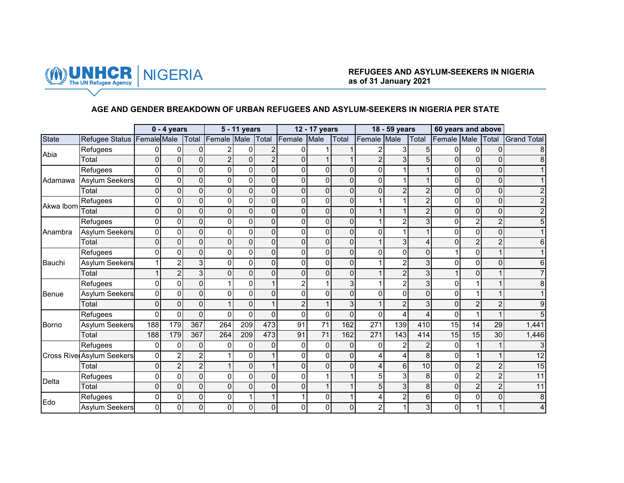

#### **AGE AND GENDER BREAKDOWN OF URBAN REFUGEES AND ASYLUM-SEEKERS IN NIGERIA PER STATE**

|              |                                  |                | $0 - 4$ years  |                |                | 5 - 11 years |                |                | 12 - 17 years   |                |                  | 18 - 59 years  |                | 60 years and above |                 |                |                    |
|--------------|----------------------------------|----------------|----------------|----------------|----------------|--------------|----------------|----------------|-----------------|----------------|------------------|----------------|----------------|--------------------|-----------------|----------------|--------------------|
| <b>State</b> | Refugee Status Female Male       |                |                | Total          | Female Male    |              | Total          | Female         | Male            | Total          | Female           | Male           | Total          | Female Male        |                 | Total          | <b>Grand Total</b> |
| Abia         | Refugees                         | $\Omega$       | $\Omega$       | $\mathbf{0}$   |                | 0            | $\overline{c}$ | $\Omega$       |                 |                | 2                | 3              | 5              | $\Omega$           | 0               | $\Omega$       |                    |
|              | Total                            | 0              | $\Omega$       | $\Omega$       | $\mathfrak{p}$ | 0            | $\overline{2}$ | $\Omega$       |                 |                | $\overline{2}$   | 3              | 5              | $\Omega$           | $\mathbf{0}$    | $\Omega$       |                    |
|              | Refugees                         | 0              | $\Omega$       | $\Omega$       | U              | 0            | $\overline{0}$ | 0              | $\overline{0}$  | 0              | 0                |                |                | 0                  | $\Omega$        | $\Omega$       |                    |
| Adamawa      | <b>Asylum Seekers</b>            | $\mathbf 0$    | $\overline{0}$ | $\mathbf 0$    | $\Omega$       | 0            | $\overline{0}$ | $\overline{0}$ | $\overline{0}$  | $\mathbf 0$    | $\pmb{0}$        |                |                | $\overline{0}$     | $\mathbf 0$     | $\Omega$       |                    |
|              | Total                            | $\Omega$       | $\Omega$       | $\Omega$       | $\Omega$       | 0            | $\Omega$       | $\Omega$       | $\overline{0}$  | $\Omega$       | 0                |                | $\mathcal{P}$  | $\Omega$           | $\overline{0}$  | $\Omega$       |                    |
| Akwa Ibom    | Refugees                         | 0              | $\Omega$       | $\Omega$       | 0              | 0            | $\Omega$       | $\Omega$       | $\Omega$        | 0              |                  |                |                | 0                  | $\Omega$        | $\Omega$       |                    |
|              | Total                            | $\mathbf 0$    | 0              | $\mathbf 0$    | $\Omega$       | 0            | $\Omega$       | $\Omega$       | $\overline{0}$  | $\overline{0}$ | 1                |                | $\overline{2}$ | $\Omega$           | 0               | $\overline{0}$ |                    |
|              | Refugees                         | 0              | $\mathbf{0}$   | $\Omega$       | U              | 0            | $\Omega$       | $\Omega$       | $\overline{0}$  | 0              |                  |                | 3              | 0                  | $\overline{2}$  | 2              |                    |
| Anambra      | <b>Asylum Seekers</b>            | $\Omega$       | $\Omega$       | $\Omega$       | 0              | 0            | $\Omega$       | $\Omega$       | $\overline{0}$  | $\Omega$       | 0                |                |                | 0                  | $\Omega$        | $\Omega$       |                    |
|              | Total                            | $\Omega$       | $\overline{0}$ | $\Omega$       | $\Omega$       | 0            | $\Omega$       | $\Omega$       | $\Omega$        | $\Omega$       | $\mathbf{1}$     | 3 <sub>l</sub> | 4              | $\Omega$           | $\overline{c}$  | $\overline{c}$ |                    |
|              | Refugees                         | 0              | $\mathbf{0}$   | $\Omega$       | U              | 0            | $\Omega$       | $\Omega$       | $\Omega$        | $\Omega$       | $\Omega$         | $\Omega$       | $\Omega$       |                    | $\Omega$        |                |                    |
| Bauchi       | <b>Asylum Seekers</b>            |                | $\overline{c}$ | 3              | 0              | 0            | $\Omega$       | $\Omega$       | $\overline{0}$  | 0              |                  | $\mathcal{P}$  | 3              | 0                  | 0               | $\Omega$       |                    |
|              | Total                            |                | $\overline{c}$ | 3              | $\Omega$       | 0            | $\Omega$       | $\mathbf{0}$   | $\overline{0}$  | $\mathbf 0$    |                  | $\overline{2}$ | 3              |                    | $\overline{0}$  |                |                    |
|              | Refugees                         | $\Omega$       | $\mathbf{0}$   | $\Omega$       |                | 0            |                | $\overline{2}$ |                 | 3              |                  |                | 3              | 0                  |                 |                |                    |
| Benue        | <b>Asylum Seekers</b>            | $\Omega$       | $\Omega$       | $\Omega$       | U              | 0            | $\Omega$       | $\Omega$       | $\Omega$        | $\Omega$       | $\Omega$         | $\Omega$       | $\Omega$       | 0                  |                 |                |                    |
|              | Total                            | $\Omega$       | $\Omega$       | $\mathbf{0}$   |                | 0            |                | $\overline{c}$ | $\mathbf{1}$    | 3              |                  | $\overline{2}$ | 3              | 0                  | $\overline{2}$  | $\overline{c}$ |                    |
|              | Refugees                         | $\Omega$       | $\mathbf{0}$   | $\Omega$       | U              | 0            | $\Omega$       | $\mathbf 0$    | $\overline{0}$  | $\Omega$       | $\Omega$         |                | 4              | 0                  | 1               |                |                    |
| Borno        | <b>Asylum Seekers</b>            | 188            | 179            | 367            | 264            | 209          | 473            | 91             | $\overline{71}$ | 162            | $\overline{271}$ | 139            | 410            | $\overline{15}$    | $\overline{14}$ | 29             | 1,441              |
|              | Total                            | 188            | 179            | 367            | 264            | 209          | 473            | 91             | 71              | 162            | 271              | 143            | 414            | 15                 | 15              | 30             | 1,446              |
|              | Refugees                         | $\Omega$       | $\Omega$       | $\Omega$       |                | 0            | $\Omega$       | $\Omega$       | $\overline{0}$  | $\Omega$       | $\Omega$         |                | $\overline{2}$ | $\Omega$           | 1               |                |                    |
|              | <b>Cross Rive Asylum Seekers</b> | 0              | $\overline{c}$ | 2              |                | 0            |                | $\Omega$       | $\overline{0}$  | 0              | 4                |                | 8              | 0                  |                 |                | 12                 |
|              | Total                            | $\mathbf{0}$   | $\overline{c}$ | $\overline{2}$ |                | 0            |                | $\mathbf{0}$   | $\Omega$        | $\mathbf 0$    | 4                | 6              | 10             | $\overline{0}$     | $\overline{2}$  | $\overline{c}$ | 15                 |
| Delta        | Refugees                         | 0              | $\Omega$       | $\Omega$       | U              | 0            | $\Omega$       | $\Omega$       |                 |                | 5                | 3              | 8              | 0                  | $\overline{c}$  | 2              | 11                 |
|              | Total                            | $\Omega$       | $\Omega$       | $\Omega$       | $\Omega$       | 0            | $\Omega$       | $\Omega$       |                 |                | 5                | 3              | 8              | $\Omega$           | $\overline{c}$  | $\overline{2}$ | 11                 |
| Edo          | Refugees                         | $\Omega$       | $\overline{0}$ | $\Omega$       | $\Omega$       |              | $\mathbf{1}$   |                | $\Omega$        |                | 4                | $\overline{2}$ | 6              | $\Omega$           | 0               | $\Omega$       | 8                  |
|              | <b>Asylum Seekers</b>            | $\overline{0}$ | $\overline{0}$ | $\Omega$       | $\Omega$       | 0            | $\overline{0}$ |                | $\overline{0}$  | 0              | $\boldsymbol{2}$ |                | 3              | 0                  |                 |                |                    |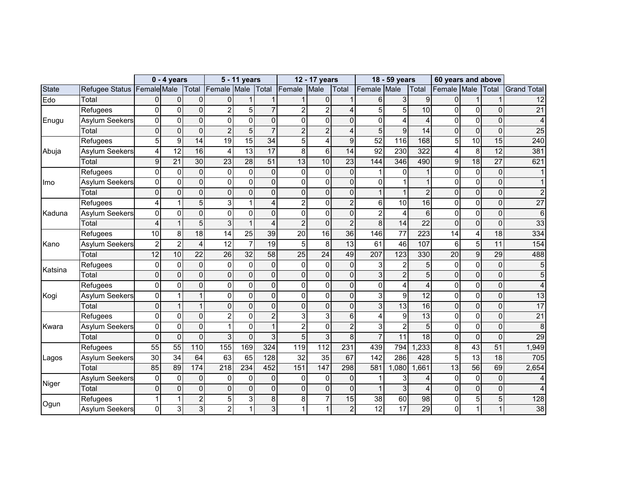|              |                            |                 | $0 - 4$ years   |                 |                 | 5 - 11 years    |                 |                 | 12 - 17 years   |                 |                  | 18 - 59 years   |                 | 60 years and above |                 |                 |                    |
|--------------|----------------------------|-----------------|-----------------|-----------------|-----------------|-----------------|-----------------|-----------------|-----------------|-----------------|------------------|-----------------|-----------------|--------------------|-----------------|-----------------|--------------------|
| <b>State</b> | Refugee Status Female Male |                 |                 | Total           | Female Male     |                 |                 | Total Female    | Male            | Total           | Female           | Male            | Total           | Female Male        |                 | Total           | <b>Grand Total</b> |
| Edo          | Total                      | $\Omega$        | 0               | $\mathbf{0}$    | $\Omega$        |                 |                 |                 | $\overline{0}$  |                 | 6                | 3               | 9               | $\Omega$           | 1               |                 | $\overline{12}$    |
|              | Refugees                   | $\Omega$        | $\mathbf 0$     | $\Omega$        | 2               | 5               | $\overline{7}$  | $\overline{c}$  | $\overline{c}$  | 4               | 5                | 5               | 10              | $\Omega$           | $\mathbf 0$     | $\Omega$        | $\overline{21}$    |
| Enugu        | <b>Asylum Seekers</b>      | $\Omega$        | 0               | $\mathbf{0}$    | 0               | 0               | $\Omega$        | $\mathbf{0}$    | $\overline{0}$  | $\Omega$        | 0                | 4               | 4               | 0                  | $\mathbf 0$     | $\Omega$        |                    |
|              | Total                      | $\mathbf 0$     | $\overline{0}$  | $\mathbf 0$     | $\overline{2}$  | 5               | $\overline{7}$  | $\overline{2}$  | $\overline{c}$  | 4               | $\overline{5}$   | 9               | 14              | 0                  | $\mathbf 0$     | $\overline{0}$  | $\overline{25}$    |
|              | Refugees                   | 5               | $\overline{9}$  | 14              | 19              | $\overline{15}$ | $\overline{34}$ | 5               | 4               | 9               | $\overline{52}$  | 116             | 168             | 5                  | $\overline{10}$ | 15              | 240                |
| Abuja        | <b>Asylum Seekers</b>      | 4               | $\overline{12}$ | 16              | 4               | 13              | 17              | 8               | $6 \mid$        | 14              | 92               | 230             | 322             | 4                  | 8               | 12              | 381                |
|              | Total                      | $\overline{9}$  | $\overline{21}$ | 30              | $\overline{23}$ | $\overline{28}$ | $\overline{51}$ | 13              | 10              | $\overline{23}$ | 144              | 346             | 490             | 9                  | $\overline{18}$ | $\overline{27}$ | 621                |
|              | Refugees                   | $\Omega$        | $\mathbf 0$     | $\overline{0}$  | $\Omega$        | 0               | $\Omega$        | $\mathbf{0}$    | $\overline{0}$  | $\mathbf{0}$    | 1                | $\Omega$        |                 | 0                  | $\mathbf 0$     | $\Omega$        |                    |
| Imo          | <b>Asylum Seekers</b>      | $\overline{0}$  | 0               | $\mathbf 0$     | 0               | 0               | $\overline{0}$  | 0               | $\overline{0}$  | 0               | 0                |                 |                 | 0                  | 0               | $\Omega$        |                    |
|              | Total                      | $\Omega$        | 0               | $\Omega$        | $\Omega$        | 0               | $\overline{0}$  | $\mathbf{0}$    | $\overline{0}$  | 0               | $\mathbf{1}$     |                 | $\overline{2}$  | $\Omega$           | $\overline{0}$  | $\Omega$        |                    |
|              | Refugees                   | 4               | 1               | 5               | 3               |                 | 4               | $\overline{2}$  | $\overline{0}$  | $\overline{2}$  | 6                | 10              | 16              | 0                  | 0               | $\Omega$        | $\overline{27}$    |
| Kaduna       | <b>Asylum Seekers</b>      | $\mathbf 0$     | 0               | $\mathbf{0}$    | 0               | 0               | $\Omega$        | 0               | $\overline{0}$  | 0               | $\overline{2}$   | 4               | 6               | $\Omega$           | 0               | $\Omega$        | 6                  |
|              | Total                      | 4               | $\mathbf{1}$    | 5               | 3               |                 | 4               | $\overline{2}$  | $\overline{0}$  | $\overline{2}$  | 8                | 14              | 22              | $\Omega$           | $\Omega$        | $\Omega$        | 33                 |
|              | Refugees                   | 10              | 8               | $\overline{18}$ | 14              | 25              | 39              | $\overline{20}$ | 16              | $\overline{36}$ | 146              | $\overline{77}$ | 223             | 14                 | 4               | 18              | 334                |
| Kano         | <b>Asylum Seekers</b>      | $\overline{a}$  | $\overline{2}$  | $\overline{4}$  | 12              | $\overline{7}$  | 19              | 5               | 8               | 13              | 61               | 46              | 107             | 6                  | $\overline{5}$  | 11              | 154                |
|              | Total                      | $\overline{12}$ | 10              | $\overline{22}$ | 26              | $\overline{32}$ | 58              | 25              | $\overline{24}$ | 49              | 207              | 123             | 330             | $\overline{20}$    | $\overline{9}$  | 29              | 488                |
|              | Refugees                   | $\pmb{0}$       | 0               | $\Omega$        | 0               | 0               | $\overline{0}$  | $\mathbf 0$     | $\overline{0}$  | $\Omega$        | 3                | 2               | 5               | $\Omega$           | $\mathbf 0$     | $\Omega$        |                    |
| Katsina      | Total                      | $\mathbf 0$     | $\overline{0}$  | $\mathbf{0}$    | $\Omega$        | 0               | $\overline{0}$  | $\mathbf{0}$    | $\overline{0}$  | 0               | $\overline{3}$   | $\overline{2}$  | 5               | $\Omega$           | $\mathbf 0$     | $\Omega$        |                    |
|              | Refugees                   | $\mathbf 0$     | 0               | $\mathbf{0}$    | 0               | 0               | $\Omega$        | $\Omega$        | $\overline{0}$  | $\Omega$        | 0                | 4               | 4               | 0                  | $\mathbf 0$     | $\Omega$        |                    |
| Kogi         | <b>Asylum Seekers</b>      | $\Omega$        | 1               |                 | 0               | 0               | $\Omega$        | $\Omega$        | $\overline{0}$  | 0               | 3                | 9               | 12              | 0                  | 0               | $\Omega$        | 13                 |
|              | Total                      | $\Omega$        |                 |                 | $\Omega$        | 0               | $\Omega$        | $\Omega$        | $\overline{0}$  | $\Omega$        | 3                | $\overline{13}$ | 16              | $\Omega$           | $\overline{0}$  | $\Omega$        | $\overline{17}$    |
|              | Refugees                   | $\Omega$        | $\mathbf 0$     | $\Omega$        | $\overline{2}$  | 0               | $\overline{2}$  | 3               | $\overline{3}$  | 6               | 4                | 9               | 13              | 0                  | 0               | $\Omega$        | $\overline{21}$    |
| Kwara        | <b>Asylum Seekers</b>      | $\mathbf 0$     | 0               | $\Omega$        |                 | 0               | $\mathbf{1}$    | $\overline{c}$  | $\overline{0}$  | $\overline{2}$  | 3                | $\overline{c}$  | 5               | 0                  | 0               | $\Omega$        | 8                  |
|              | Total                      | $\overline{0}$  | $\Omega$        | $\overline{0}$  | 3               | $\Omega$        | 3               | 5               | 3 <sup>1</sup>  | 8               | $\overline{7}$   | $\overline{11}$ | $\overline{18}$ | $\overline{0}$     | $\overline{0}$  | $\Omega$        | 29                 |
|              | Refugees                   | 55              | $\overline{55}$ | 110             | 155             | 169             | 324             | 119             | 112             | 231             | 439              | 794             | ,233            | 8                  | 43              | $\overline{51}$ | 1,949              |
| Lagos        | <b>Asylum Seekers</b>      | $\overline{30}$ | $\overline{34}$ | 64              | 63              | 65              | 128             | $\overline{32}$ | 35              | 67              | $\overline{142}$ | 286             | 428             | 5                  | $\overline{13}$ | $\overline{18}$ | 705                |
|              | Total                      | 85              | 89              | 174             | 218             | 234             | 452             | 151             | 147             | 298             | 581              | ,080            | 1,661           | 13                 | $\overline{56}$ | 69              | 2,654              |
|              | Asylum Seekers             | $\pmb{0}$       | 0               | $\mathbf 0$     | 0               | 0               | $\overline{0}$  | $\mathbf 0$     | $\overline{0}$  | 0               |                  | 3               |                 | 0                  | 0               | $\Omega$        |                    |
| Niger        | Total                      | $\Omega$        | $\mathbf 0$     | $\mathbf 0$     | 0               | 0               | $\overline{0}$  | $\mathbf 0$     | $\overline{0}$  | 0               | 1                | 3               | 4               | 0                  | $\mathbf 0$     | $\overline{0}$  |                    |
|              | Refugees                   |                 | 1               | $\overline{2}$  | 5               | 3               | 8               | 8               | $\overline{7}$  | 15              | $\overline{38}$  | 60              | 98              | 0                  | $\overline{5}$  | 5 <sup>1</sup>  | 128                |
| Ogun         | <b>Asylum Seekers</b>      | $\overline{0}$  | 3               | 3               | 2               |                 | 3               |                 |                 | $\overline{c}$  | 12               | $\overline{17}$ | 29              | 0                  | 1               |                 | 38                 |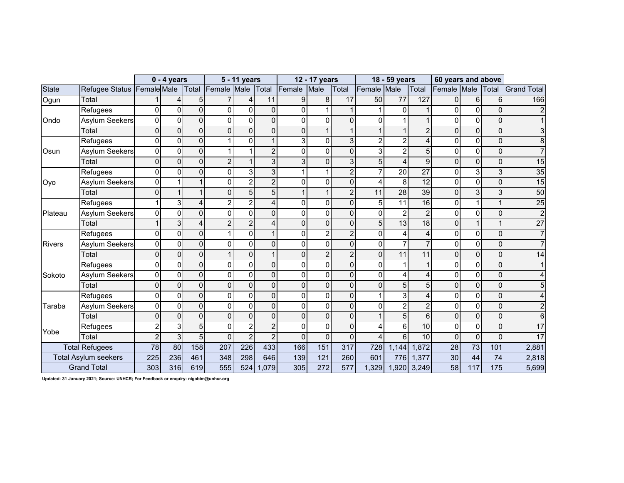|               |                             |                 | $0 - 4$ years   |                |                | 5 - 11 years   |                |                | 12 - 17 years  |                |                | 18 - 59 years   |                | 60 years and above |                 |                |                    |
|---------------|-----------------------------|-----------------|-----------------|----------------|----------------|----------------|----------------|----------------|----------------|----------------|----------------|-----------------|----------------|--------------------|-----------------|----------------|--------------------|
| <b>State</b>  | Refugee Status Female Male  |                 |                 | Total          | Female Male    |                | Total          | Female         | Male           | Total          | Female         | Male            | Total          | Female Male        |                 | Total          | <b>Grand Total</b> |
| Ogun          | Total                       |                 | 4               | 5              |                | 4              | 11             | 9              | 8              | 17             | 50             | 77              | 127            | $\Omega$           | 6               | 6              | 166                |
|               | Refugees                    | U               | 0               | $\Omega$       | $\Omega$       | 0              | 0              | $\Omega$       |                |                |                | $\Omega$        |                | $\Omega$           | 0               | $\Omega$       |                    |
| Ondo          | <b>Asylum Seekers</b>       | 0               | 0               | $\overline{0}$ | 0              | 0              | 0              | 0              | $\Omega$       | 0              | 0              |                 |                | 0                  | 0               | $\Omega$       |                    |
|               | Total                       | $\Omega$        | 0               | $\Omega$       | $\Omega$       | 0              | 0              | 0              |                |                |                |                 | $\overline{2}$ | $\Omega$           | 0               | 0              | 3                  |
|               | Refugees                    | $\Omega$        | 0               | $\Omega$       |                | 0              | $\mathbf{1}$   | 3              | $\mathbf 0$    | 3              | $\overline{c}$ | 2               |                | 0                  | $\mathbf 0$     | $\Omega$       | 8                  |
| Osun          | <b>Asylum Seekers</b>       | $\Omega$        | $\mathbf 0$     | $\Omega$       |                |                | $\overline{c}$ | 0              | $\Omega$       | $\overline{0}$ | 3              | 2               | 5              | 0                  | 0               | $\Omega$       | $\overline{7}$     |
|               | Total                       | $\Omega$        | $\overline{0}$  | $\Omega$       | $\overline{2}$ |                | 3              | 3              | $\overline{0}$ | 3              | 5              | Δ               | 9              | 0                  | 0               | $\overline{0}$ | 15                 |
|               | Refugees                    | $\Omega$        | 0               | $\Omega$       | 0              | 3              | 3              |                | 1              | $\overline{2}$ | $\overline{7}$ | 20              | 27             | 0                  | 3               | 3              | 35                 |
| Oyo           | <b>Asylum Seekers</b>       | $\Omega$        | 1               |                | 0              | 2              | $\overline{2}$ | $\Omega$       | $\Omega$       | 0              | 4              | 8               | 12             | 0                  | 0               | $\overline{0}$ | 15                 |
|               | Total                       | $\Omega$        | $\mathbf{1}$    |                | 0              | 5              | 5              |                |                | $\overline{2}$ | 11             | $\overline{28}$ | 39             | $\Omega$           | $\overline{3}$  | 3              | $\overline{50}$    |
|               | Refugees                    |                 | 3               | $\Delta$       | 2              | 2              | 4              | $\Omega$       | $\Omega$       | 0              | 5              | 11              | 16             | $\Omega$           |                 |                | $\overline{25}$    |
| Plateau       | <b>Asylum Seekers</b>       | $\mathbf 0$     | 0               | $\Omega$       | 0              | 0              | $\overline{0}$ | $\Omega$       | $\mathbf 0$    | 0              | 0              | $\overline{2}$  | $\overline{2}$ | $\mathbf{0}$       | 0               | $\Omega$       | $\overline{c}$     |
|               | Total                       |                 | 3               | $\Delta$       | $\mathcal{P}$  | $\overline{2}$ | 4              | $\overline{0}$ | $\overline{0}$ | $\overline{0}$ | 5              | 13              | 18             | 0                  |                 |                | 27                 |
|               | Refugees                    | 0               | 0               | $\overline{0}$ |                | 0              | $\mathbf{1}$   | $\Omega$       | $\overline{a}$ | $\overline{2}$ | $\mathbf 0$    |                 | Δ              | 0                  | 0               | $\Omega$       | $\overline{7}$     |
| <b>Rivers</b> | Asylum Seekers              | 0               | 0               | $\Omega$       | $\Omega$       | 0              | 0              | $\mathbf{0}$   | $\mathbf 0$    | 0              | $\mathbf 0$    |                 |                | 0                  | 0               | 0              |                    |
|               | Total                       | $\Omega$        | $\overline{0}$  | $\Omega$       |                | 0              | $\mathbf{1}$   | $\Omega$       | $\overline{2}$ | $\overline{2}$ | $\overline{0}$ | 11              | 11             | 0                  | 0               | $\Omega$       | 14                 |
|               | Refugees                    | $\Omega$        | 0               | $\Omega$       | 0              | 0              | $\overline{0}$ | $\mathbf{0}$   | $\mathbf 0$    | 0              | $\Omega$       |                 |                | 0                  | 0               | $\overline{0}$ |                    |
| Sokoto        | Asylum Seekers              | $\Omega$        | $\Omega$        | $\Omega$       | 0              | 0              | $\Omega$       | $\Omega$       | $\Omega$       | 0              | $\Omega$       | Δ               |                | $\Omega$           | 0               | $\Omega$       |                    |
|               | Total                       | $\Omega$        | 0               | $\Omega$       | 0              | 0              | 0              | $\overline{0}$ | $\overline{0}$ | 0              | $\mathbf 0$    | 5               | 5              | $\Omega$           | 0               | 0              | 5                  |
|               | Refugees                    | $\Omega$        | $\mathbf 0$     | $\Omega$       | $\Omega$       | 0              | 0              | 0              | $\mathbf 0$    | 0              |                | 3               | Δ              | 0                  | $\mathbf 0$     | $\overline{0}$ | 4                  |
| Taraba        | <b>Asylum Seekers</b>       | 0               | $\mathbf 0$     | $\mathbf 0$    | 0              | 0              | 0              | $\Omega$       | $\mathbf 0$    | $\overline{0}$ | 0              | $\overline{2}$  | $\overline{2}$ | 0                  | $\mathbf 0$     | $\overline{0}$ | $\overline{c}$     |
|               | Total                       | $\Omega$        | $\overline{0}$  | $\Omega$       | $\Omega$       | $\overline{0}$ | 0              | $\overline{0}$ | $\overline{0}$ | $\mathbf 0$    |                | 5               | 6              | 0                  | 0               | 0              | 6                  |
| Yobe          | Refugees                    | 2               | 3               | 5              | 0              | 2              | $\overline{c}$ | 0              | $\mathbf 0$    | 0              | 4              | 6               | 10             | 0                  | $\mathbf 0$     | $\overline{0}$ | $\overline{17}$    |
|               | Total                       | 2               | 3               | 5              | 0              | $\overline{2}$ | $\overline{2}$ | 0              | $\Omega$       | 0              | 4              | 6               | 10             | 0                  | 0               | 0              | 17                 |
|               | <b>Total Refugees</b>       | $\overline{78}$ | $\overline{80}$ | 158            | 207            | 226            | 433            | 166            | 151            | 317            | 728            | 1,144           | 1,872          | $\overline{28}$    | $\overline{73}$ | 101            | 2,881              |
|               | <b>Total Asylum seekers</b> | 225             | 236             | 461            | 348            | 298            | 646            | 139            | 121            | 260            | 601            | 776             | 1,377          | 30                 | 44              | 74             | 2,818              |
|               | <b>Grand Total</b>          | 303             | 316             | 619            | 555            | 524            | ,079           | 305            | 272            | 577            | 1,329          | 1,920           | 3,249          | 58                 | 117             | 175            | 5,699              |

**Updated: 31 January 2021; Source: UNHCR; For Feedback or enquiry: nigabim@unhcr.org**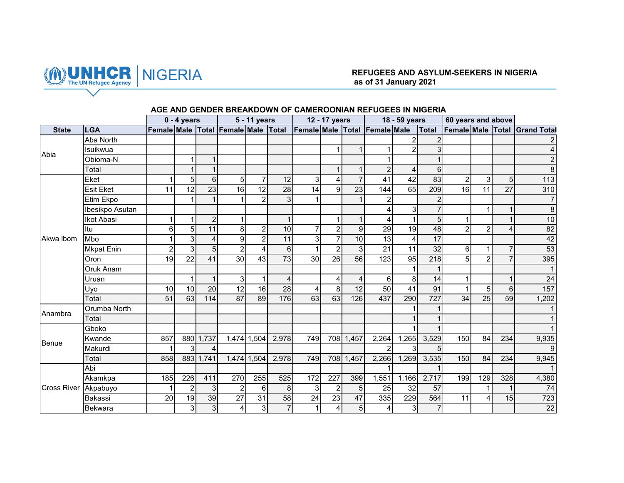

# NIGERIA **REFUGEES AND ASYLUM-SEEKERS IN NIGERIA as of 31 January 2021**

|                    |                   |                 | $0 - 4$ years  |                  |                                     | 5 - 11 years    |                |                               | 12 - 17 years   |                |                 | 18 - 59 years  |                 | 60 years and above |                |                |                         |
|--------------------|-------------------|-----------------|----------------|------------------|-------------------------------------|-----------------|----------------|-------------------------------|-----------------|----------------|-----------------|----------------|-----------------|--------------------|----------------|----------------|-------------------------|
| <b>State</b>       | <b>LGA</b>        |                 |                |                  | Female Male Total Female Male Total |                 |                | Female Male Total Female Male |                 |                |                 |                | <b>Total</b>    | Female Male Total  |                |                | <b>Grand Total</b>      |
|                    | Aba North         |                 |                |                  |                                     |                 |                |                               |                 |                |                 | 2              |                 |                    |                |                |                         |
| Abia               | Isuikwua          |                 |                |                  |                                     |                 |                |                               |                 |                | 1               | $\overline{2}$ | 3               |                    |                |                | $\overline{\mathbf{A}}$ |
|                    | Obioma-N          |                 |                |                  |                                     |                 |                |                               |                 |                |                 |                |                 |                    |                |                | $\overline{2}$          |
|                    | Total             |                 |                |                  |                                     |                 |                |                               |                 |                | $\overline{2}$  | 4              | 6               |                    |                |                | $\overline{8}$          |
|                    | Eket              |                 | 5              | $6 \overline{6}$ | 5                                   | $\overline{7}$  | 12             | $\overline{3}$                |                 | $\overline{7}$ | 41              | 42             | 83              | $\overline{2}$     | 3              | 5 <sup>1</sup> | $113$                   |
|                    | <b>Esit Eket</b>  | 11              | 12             | 23               | 16                                  | 12              | 28             | 14                            | 9               | 23             | 144             | 65             | 209             | 16                 | 11             | 27             | 310                     |
|                    | Etim Ekpo         |                 |                |                  |                                     | $\overline{2}$  | 3              |                               |                 | 1              | $\overline{a}$  |                | $\overline{2}$  |                    |                |                | $\overline{7}$          |
|                    | Ibesikpo Asutan   |                 |                |                  |                                     |                 |                |                               |                 |                | 4               | $\overline{3}$ |                 |                    |                | 1              | $\infty$                |
|                    | <b>Ikot Abasi</b> |                 | 1              | $\overline{2}$   |                                     |                 | $\mathbf{1}$   |                               |                 | $\mathbf{1}$   | 4               | 1              | 5               |                    |                | $\mathbf{1}$   | 10                      |
|                    | Itu               | 6               | 5              | 11               | 8                                   | $\overline{c}$  | 10             | $\overline{7}$                | $\overline{2}$  | $\overline{9}$ | 29              | 19             | 48              | $\mathfrak{p}$     | 2              | $\overline{4}$ | 82                      |
| Akwa Ibom          | Mbo               |                 | 3              | 4                | 9                                   | $\overline{2}$  | 11             | $\overline{3}$                | $\overline{7}$  | 10             | 13              | $\overline{4}$ | $\overline{17}$ |                    |                |                | 42                      |
|                    | <b>Mkpat Enin</b> | $\overline{2}$  | 3              | $\overline{5}$   | $\overline{2}$                      | 4               | $6\phantom{1}$ | 1                             | $\overline{2}$  | 3              | $\overline{21}$ | 11             | $\overline{32}$ | 6                  |                | $\overline{7}$ | 53                      |
|                    | Oron              | 19              | 22             | 41               | 30                                  | 43              | 73             | 30                            | 26              | 56             | 123             | 95             | 218             | 5                  | $\overline{2}$ | $\overline{7}$ | 395                     |
|                    | Oruk Anam         |                 |                |                  |                                     |                 |                |                               |                 |                |                 | 1              |                 |                    |                |                |                         |
|                    | Uruan             |                 | 1              | $\mathbf{1}$     | 3                                   | $\mathbf{1}$    | $\overline{4}$ |                               | 4               | $\overline{4}$ | 6               | 8              | 14              |                    |                | $\mathbf{1}$   | 24                      |
|                    | Uyo               | 10              | 10             | 20               | 12                                  | 16              | 28             | 4                             | 8               | 12             | 50              | 41             | 91              |                    | 5 <sup>1</sup> | $6\phantom{.}$ | 157                     |
|                    | Total             | $\overline{51}$ | 63             | 114              | $\overline{87}$                     | 89              | 176            | 63                            | 63              | 126            | 437             | 290            | 727             | $\overline{34}$    | 25             | 59             | 1,202                   |
| Anambra            | Orumba North      |                 |                |                  |                                     |                 |                |                               |                 |                |                 |                |                 |                    |                |                |                         |
|                    | Total             |                 |                |                  |                                     |                 |                |                               |                 |                |                 |                |                 |                    |                |                |                         |
|                    | Gboko             |                 |                |                  |                                     |                 |                |                               |                 |                |                 |                |                 |                    |                |                |                         |
| Benue              | Kwande            | 857             |                | 880 1,737        |                                     | 1,474 1,504     | 2,978          | 749                           |                 | 708 1,457      | 2,264           | 1,265          | 3,529           | 150                | 84             | 234            | 9,935                   |
|                    | Makurdi           | 1               | 3              | 4                |                                     |                 |                |                               |                 |                | $\overline{2}$  | $\overline{3}$ | $5\overline{)}$ |                    |                |                | 9                       |
|                    | Total             | 858             |                | 883 1,741        |                                     | 1,474 1,504     | 2,978          | 749                           |                 | 708 1,457      | 2,266           | 1,269          | 3,535           | 150                | 84             | 234            | 9,945                   |
|                    | Abi               |                 |                |                  |                                     |                 |                |                               |                 |                |                 |                |                 |                    |                |                |                         |
|                    | Akamkpa           | 185             | 226            | 411              | 270                                 | 255             | 525            | 172                           | 227             | 399            | 1,551           | 1,166          | 2,717           | 199                | 129            | 328            | 4,380                   |
| <b>Cross River</b> | Akpabuyo          |                 | $\overline{c}$ | 3 <sup>1</sup>   | $\overline{2}$                      | 6               | 8              | $\overline{3}$                | $\overline{2}$  | 5 <sup>5</sup> | 25              | 32             | 57              |                    |                | 1              | 74                      |
|                    | Bakassi           | $\overline{20}$ | 19             | 39               | $\overline{27}$                     | $\overline{31}$ | 58             | 24                            | $\overline{23}$ | 47             | 335             | 229            | 564             | 11                 | 4              | 15             | 723                     |
|                    | <b>Bekwara</b>    |                 | $\overline{3}$ | 3 <sup>1</sup>   | 4                                   | 3 <sup>1</sup>  | $\overline{7}$ | $\mathbf{1}$                  | 4               | 5 <sup>1</sup> | $\overline{4}$  | $\overline{3}$ | $\overline{7}$  |                    |                |                | 22                      |

## **AGE AND GENDER BREAKDOWN OF CAMEROONIAN REFUGEES IN NIGERIA**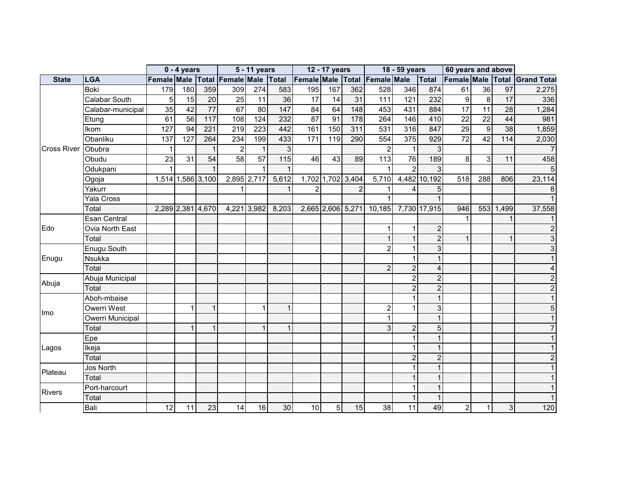|                    |                   |                                     | $\overline{0}$ - 4 years |                          |                | $\overline{5}$ - 11 years |                 |                 | 12 - 17 years   |                   |                               | 18 - 59 years    |                | 60 years and above |                     |                 |                    |
|--------------------|-------------------|-------------------------------------|--------------------------|--------------------------|----------------|---------------------------|-----------------|-----------------|-----------------|-------------------|-------------------------------|------------------|----------------|--------------------|---------------------|-----------------|--------------------|
| <b>State</b>       | <b>LGA</b>        | Female Male Total Female Male Total |                          |                          |                |                           |                 |                 |                 |                   | Female Male Total Female Male |                  | Total          | Female Male Total  |                     |                 | <b>Grand Total</b> |
|                    | <b>Boki</b>       | 179                                 | 180                      | 359                      | 309            | 274                       | 583             | 195             | 167             | 362               | 528                           | 346              | 874            | 61                 | 36                  | 97              | 2,275              |
|                    | Calabar South     | 5                                   | 15                       | $\overline{20}$          | 25             | 11                        | $\overline{36}$ | $\overline{17}$ | $\overline{14}$ | $\overline{31}$   | $\frac{111}{11}$              | 121              | 232            | 9                  | $\overline{\infty}$ | $\overline{17}$ | 336                |
|                    | Calabar-municipal | 35                                  | 42                       | $\overline{77}$          | 67             | 80                        | 147             | 84              | 64              | 148               | 453                           | 431              | 884            | 17                 | 11                  | 28              | 1,284              |
|                    | Etung             | 61                                  | $\overline{56}$          | 117                      | 108            | 124                       | 232             | $\overline{87}$ | 91              | 178               | 264                           | 146              | 410            | $\overline{22}$    | $\overline{22}$     | 44              | 981                |
|                    | <b>Ikom</b>       | 127                                 | 94                       | 221                      | 219            | 223                       | 442             | 161             | 150             | 311               | 531                           | 316              | 847            | 29                 | 9                   | 38              | 1,859              |
|                    | Obanliku          | 137                                 | 127                      | 264                      | 234            | 199                       | 433             | 171             | 119             | 290               | 554                           | $\overline{375}$ | 929            | $\overline{72}$    | $\overline{42}$     | 114             | 2,030              |
| <b>Cross River</b> | Obubra            |                                     |                          |                          | $\overline{2}$ | $\mathbf{1}$              | 3               |                 |                 |                   | $\overline{2}$                |                  |                |                    |                     |                 |                    |
|                    | Obudu             | 23                                  | 31                       | 54                       | 58             | 57                        | 115             | 46              | 43              | 89                | 113                           | 76               | 189            | 8                  | 3                   | 11              | 458                |
|                    | Odukpani          | 1                                   |                          |                          |                | $\mathbf{1}$              |                 |                 |                 |                   |                               | $\mathcal{P}$    |                |                    |                     |                 | 5                  |
|                    | Ogoja             |                                     | 1,514 1,586 3,100        |                          |                | 2,895 2,717               | 5,612           |                 |                 | 1,702 1,702 3,404 | 5,710                         |                  | 4,482 10,192   | 518                | 288                 | 806             | 23,114             |
|                    | Yakurr            |                                     |                          |                          |                |                           |                 | $\mathfrak{p}$  |                 | $\overline{2}$    |                               |                  | 5              |                    |                     |                 |                    |
|                    | Yala Cross        |                                     |                          |                          |                |                           |                 |                 |                 |                   |                               |                  |                |                    |                     |                 |                    |
|                    | Total             |                                     |                          | 2,289 2,381 4,670        | 4,221 3,982    |                           | 8,203           |                 |                 | 2,665 2,606 5,271 | 10,185                        |                  | 7,730 17,915   | 946                |                     | 553 1,499       | 37,558             |
|                    | Esan Central      |                                     |                          |                          |                |                           |                 |                 |                 |                   |                               |                  |                |                    |                     |                 |                    |
| Edo                | Ovia North East   |                                     |                          |                          |                |                           |                 |                 |                 |                   |                               |                  |                |                    |                     |                 | $\overline{2}$     |
|                    | Total             |                                     |                          |                          |                |                           |                 |                 |                 |                   | 1                             |                  | $\mathcal{P}$  |                    |                     |                 | 3                  |
|                    | Enugu South       |                                     |                          |                          |                |                           |                 |                 |                 |                   | $\overline{2}$                | 1                | 3              |                    |                     |                 | 3                  |
| Enugu              | Nsukka            |                                     |                          |                          |                |                           |                 |                 |                 |                   |                               | 1                |                |                    |                     |                 |                    |
|                    | Total             |                                     |                          |                          |                |                           |                 |                 |                 |                   | $\overline{2}$                | $\overline{2}$   |                |                    |                     |                 |                    |
| Abuja              | Abuja Municipal   |                                     |                          |                          |                |                           |                 |                 |                 |                   |                               | $\overline{2}$   |                |                    |                     |                 |                    |
|                    | Total             |                                     |                          |                          |                |                           |                 |                 |                 |                   |                               | $\overline{2}$   |                |                    |                     |                 |                    |
|                    | Aboh-mbaise       |                                     |                          |                          |                |                           |                 |                 |                 |                   |                               |                  |                |                    |                     |                 |                    |
| Imo                | Owerri West       |                                     |                          |                          |                | $\mathbf 1$               | $\mathbf 1$     |                 |                 |                   | $\overline{2}$                |                  |                |                    |                     |                 | 5                  |
|                    | Owerri Municipal  |                                     |                          |                          |                |                           |                 |                 |                 |                   |                               |                  |                |                    |                     |                 |                    |
|                    | Total             |                                     | $\overline{1}$           | $\overline{\phantom{a}}$ |                | $\mathbf{1}$              | $\mathbf{1}$    |                 |                 |                   | 3                             | $\overline{c}$   | 5              |                    |                     |                 |                    |
|                    | Epe               |                                     |                          |                          |                |                           |                 |                 |                 |                   |                               |                  |                |                    |                     |                 |                    |
| Lagos              | Ikeja             |                                     |                          |                          |                |                           |                 |                 |                 |                   |                               |                  |                |                    |                     |                 |                    |
|                    | Total             |                                     |                          |                          |                |                           |                 |                 |                 |                   |                               | $\overline{2}$   | $\overline{2}$ |                    |                     |                 |                    |
| Plateau            | Jos North         |                                     |                          |                          |                |                           |                 |                 |                 |                   |                               |                  |                |                    |                     |                 |                    |
|                    | Total             |                                     |                          |                          |                |                           |                 |                 |                 |                   |                               |                  |                |                    |                     |                 |                    |
| <b>Rivers</b>      | Port-harcourt     |                                     |                          |                          |                |                           |                 |                 |                 |                   |                               |                  |                |                    |                     |                 |                    |
|                    | Total             |                                     |                          |                          |                |                           |                 |                 |                 |                   |                               |                  |                |                    |                     |                 |                    |
|                    | Bali              | 12                                  | 11                       | 23                       | 14             | 16                        | 30              | 10              | 5 <sub>l</sub>  | 15                | 38                            | 11               | 49             | $\overline{2}$     |                     | $\mathbf{3}$    | 120                |